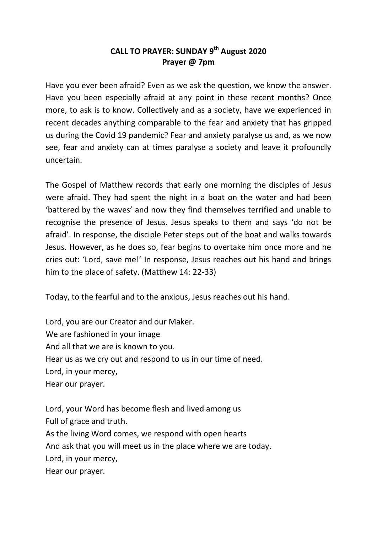## **CALL TO PRAYER: SUNDAY 9th August 2020 Prayer @ 7pm**

Have you ever been afraid? Even as we ask the question, we know the answer. Have you been especially afraid at any point in these recent months? Once more, to ask is to know. Collectively and as a society, have we experienced in recent decades anything comparable to the fear and anxiety that has gripped us during the Covid 19 pandemic? Fear and anxiety paralyse us and, as we now see, fear and anxiety can at times paralyse a society and leave it profoundly uncertain.

The Gospel of Matthew records that early one morning the disciples of Jesus were afraid. They had spent the night in a boat on the water and had been 'battered by the waves' and now they find themselves terrified and unable to recognise the presence of Jesus. Jesus speaks to them and says 'do not be afraid'. In response, the disciple Peter steps out of the boat and walks towards Jesus. However, as he does so, fear begins to overtake him once more and he cries out: 'Lord, save me!' In response, Jesus reaches out his hand and brings him to the place of safety. (Matthew 14: 22-33)

Today, to the fearful and to the anxious, Jesus reaches out his hand.

Lord, you are our Creator and our Maker. We are fashioned in your image And all that we are is known to you. Hear us as we cry out and respond to us in our time of need. Lord, in your mercy, Hear our prayer.

Lord, your Word has become flesh and lived among us Full of grace and truth. As the living Word comes, we respond with open hearts And ask that you will meet us in the place where we are today. Lord, in your mercy, Hear our prayer.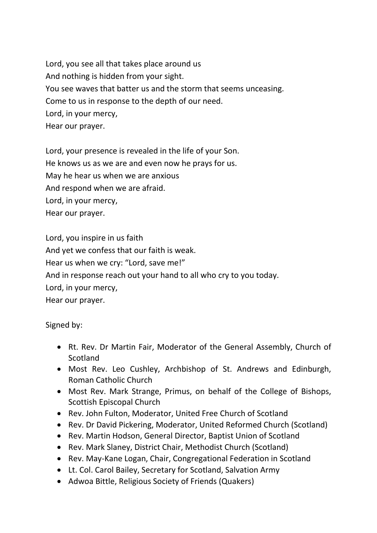Lord, you see all that takes place around us And nothing is hidden from your sight. You see waves that batter us and the storm that seems unceasing. Come to us in response to the depth of our need. Lord, in your mercy, Hear our prayer.

Lord, your presence is revealed in the life of your Son. He knows us as we are and even now he prays for us. May he hear us when we are anxious And respond when we are afraid. Lord, in your mercy, Hear our prayer.

Lord, you inspire in us faith And yet we confess that our faith is weak. Hear us when we cry: "Lord, save me!" And in response reach out your hand to all who cry to you today. Lord, in your mercy, Hear our prayer.

Signed by:

- Rt. Rev. Dr Martin Fair, Moderator of the General Assembly, Church of **Scotland**
- Most Rev. Leo Cushley, Archbishop of St. Andrews and Edinburgh, Roman Catholic Church
- Most Rev. Mark Strange, Primus, on behalf of the College of Bishops, Scottish Episcopal Church
- Rev. John Fulton, Moderator, United Free Church of Scotland
- Rev. Dr David Pickering, Moderator, United Reformed Church (Scotland)
- Rev. Martin Hodson, General Director, Baptist Union of Scotland
- Rev. Mark Slaney, District Chair, Methodist Church (Scotland)
- Rev. May-Kane Logan, Chair, Congregational Federation in Scotland
- Lt. Col. Carol Bailey, Secretary for Scotland, Salvation Army
- Adwoa Bittle, Religious Society of Friends (Quakers)